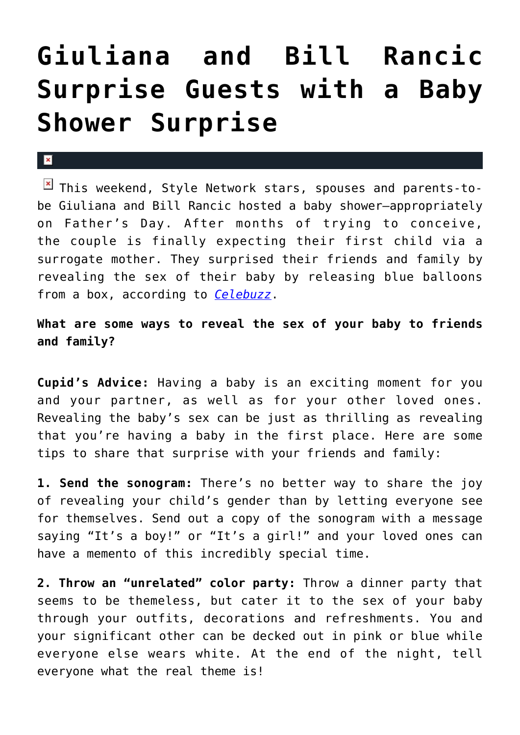## **[Giuliana and Bill Rancic](https://cupidspulse.com/33583/giuliana-and-bill-rancic-surprise-guests-baby-shower-surprise/) [Surprise Guests with a Baby](https://cupidspulse.com/33583/giuliana-and-bill-rancic-surprise-guests-baby-shower-surprise/) [Shower Surprise](https://cupidspulse.com/33583/giuliana-and-bill-rancic-surprise-guests-baby-shower-surprise/)**

 $\mathbf{\overline{x}}$ 

 $\boxed{\times}$  This weekend, Style Network stars, spouses and parents-tobe Giuliana and Bill Rancic hosted a baby shower–appropriately on Father's Day. After months of trying to conceive, the couple is finally expecting their first child via a surrogate mother. They surprised their friends and family by revealing the sex of their baby by releasing blue balloons from a box, according to *[Celebuzz](http://www.celebuzz.com/2012-06-18/giuliana-and-bill-rancics-baby-shower-reveal-planner-details-how-they-surprised-guests-exclusive/)*.

**What are some ways to reveal the sex of your baby to friends and family?**

**Cupid's Advice:** Having a baby is an exciting moment for you and your partner, as well as for your other loved ones. Revealing the baby's sex can be just as thrilling as revealing that you're having a baby in the first place. Here are some tips to share that surprise with your friends and family:

**1. Send the sonogram:** There's no better way to share the joy of revealing your child's gender than by letting everyone see for themselves. Send out a copy of the sonogram with a message saying "It's a boy!" or "It's a girl!" and your loved ones can have a memento of this incredibly special time.

**2. Throw an "unrelated" color party:** Throw a dinner party that seems to be themeless, but cater it to the sex of your baby through your outfits, decorations and refreshments. You and your significant other can be decked out in pink or blue while everyone else wears white. At the end of the night, tell everyone what the real theme is!